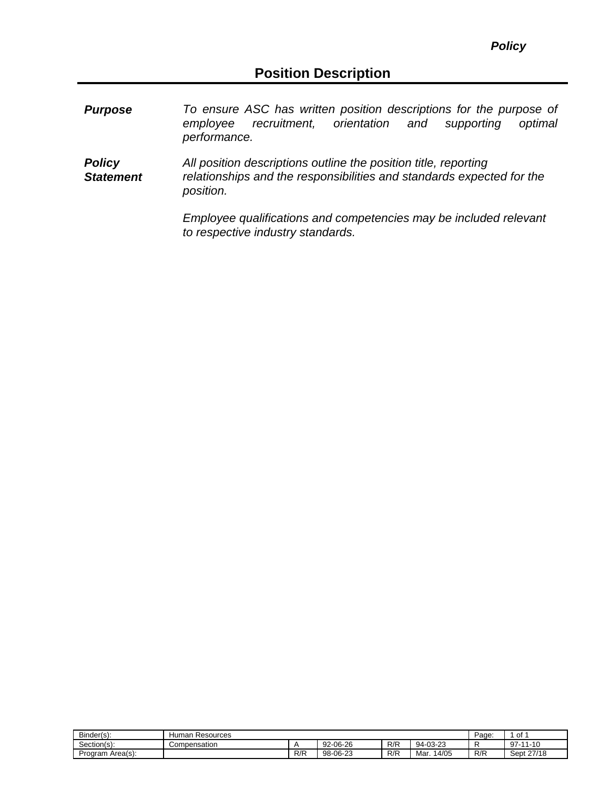- *Purpose To ensure ASC has written position descriptions for the purpose of recruitment, orientation performance.*
- *Policy Statement All position descriptions outline the position title, reporting relationships and the responsibilities and standards expected for the position.*

*Employee qualifications and competencies may be included relevant to respective industry standards.*

| Binder(s):          | Human<br>Resources | Page. | of       |     |                 |     |            |
|---------------------|--------------------|-------|----------|-----|-----------------|-----|------------|
| Section(s):         | Compensation       |       | 92-06-26 | R/R | -03-23<br>-94-0 |     | $97-11-10$ |
| Area(s):<br>Program |                    | R/R   | 98-06-23 | R/R | Mar.<br>14/05   | R/R | Sept 27/18 |